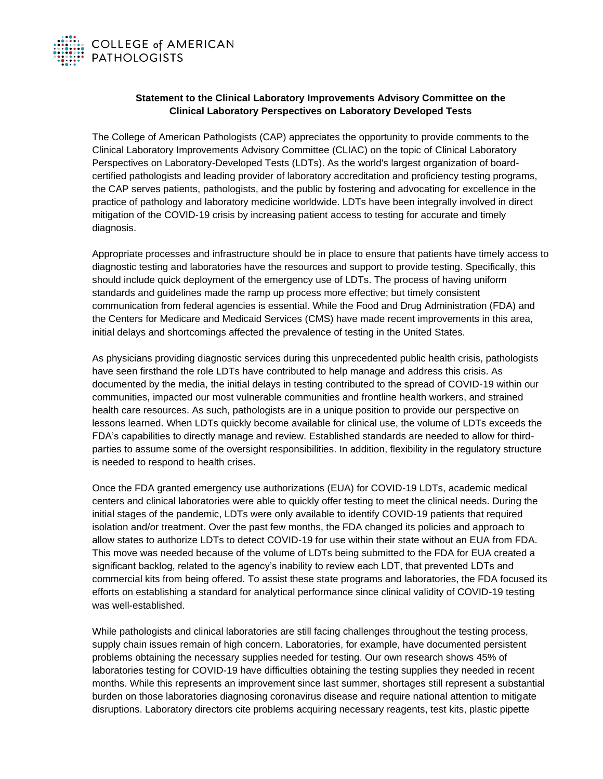

## **Statement to the Clinical Laboratory Improvements Advisory Committee on the Clinical Laboratory Perspectives on Laboratory Developed Tests**

The College of American Pathologists (CAP) appreciates the opportunity to provide comments to the Clinical Laboratory Improvements Advisory Committee (CLIAC) on the topic of Clinical Laboratory Perspectives on Laboratory-Developed Tests (LDTs). As the world's largest organization of boardcertified pathologists and leading provider of laboratory accreditation and proficiency testing programs, the CAP serves patients, pathologists, and the public by fostering and advocating for excellence in the practice of pathology and laboratory medicine worldwide. LDTs have been integrally involved in direct mitigation of the COVID-19 crisis by increasing patient access to testing for accurate and timely diagnosis.

Appropriate processes and infrastructure should be in place to ensure that patients have timely access to diagnostic testing and laboratories have the resources and support to provide testing. Specifically, this should include quick deployment of the emergency use of LDTs. The process of having uniform standards and guidelines made the ramp up process more effective; but timely consistent communication from federal agencies is essential. While the Food and Drug Administration (FDA) and the Centers for Medicare and Medicaid Services (CMS) have made recent improvements in this area, initial delays and shortcomings affected the prevalence of testing in the United States.

As physicians providing diagnostic services during this unprecedented public health crisis, pathologists have seen firsthand the role LDTs have contributed to help manage and address this crisis. As documented by the media, the initial delays in testing contributed to the spread of COVID-19 within our communities, impacted our most vulnerable communities and frontline health workers, and strained health care resources. As such, pathologists are in a unique position to provide our perspective on lessons learned. When LDTs quickly become available for clinical use, the volume of LDTs exceeds the FDA's capabilities to directly manage and review. Established standards are needed to allow for thirdparties to assume some of the oversight responsibilities. In addition, flexibility in the regulatory structure is needed to respond to health crises.

Once the FDA granted emergency use authorizations (EUA) for COVID-19 LDTs, academic medical centers and clinical laboratories were able to quickly offer testing to meet the clinical needs. During the initial stages of the pandemic, LDTs were only available to identify COVID-19 patients that required isolation and/or treatment. Over the past few months, the FDA changed its policies and approach to allow states to authorize LDTs to detect COVID-19 for use within their state without an EUA from FDA. This move was needed because of the volume of LDTs being submitted to the FDA for EUA created a significant backlog, related to the agency's inability to review each LDT, that prevented LDTs and commercial kits from being offered. To assist these state programs and laboratories, the FDA focused its efforts on establishing a standard for analytical performance since clinical validity of COVID-19 testing was well-established.

While pathologists and clinical laboratories are still facing challenges throughout the testing process, supply chain issues remain of high concern. Laboratories, for example, have documented persistent problems obtaining the necessary supplies needed for testing. Our own research shows 45% of laboratories testing for COVID-19 have difficulties obtaining the testing supplies they needed in recent months. While this represents an improvement since last summer, shortages still represent a substantial burden on those laboratories diagnosing coronavirus disease and require national attention to mitigate disruptions. Laboratory directors cite problems acquiring necessary reagents, test kits, plastic pipette